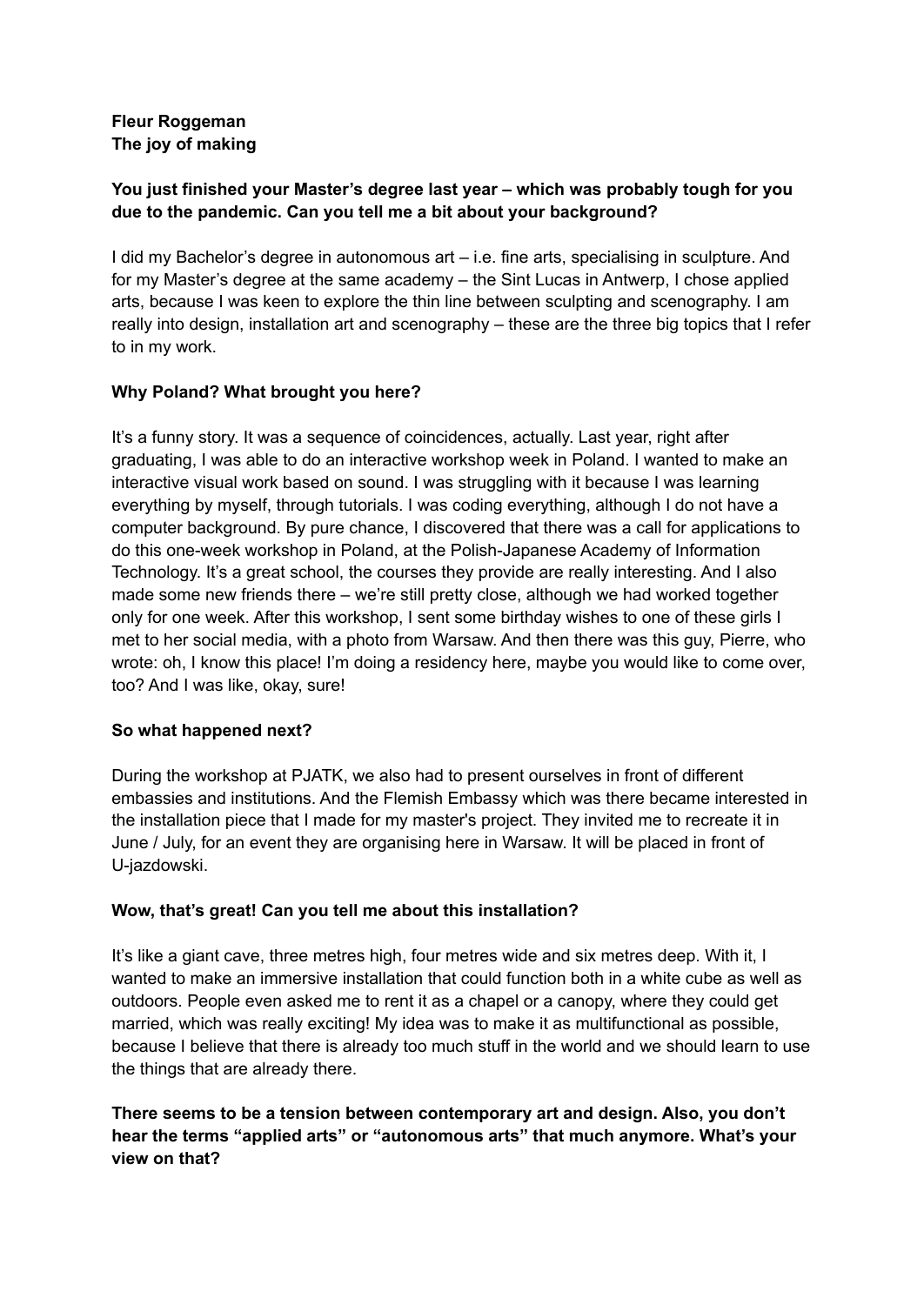## **Fleur Roggeman The joy of making**

# **You just finished your Master's degree last year – which was probably tough for you due to the pandemic. Can you tell me a bit about your background?**

I did my Bachelor's degree in autonomous art – i.e. fine arts, specialising in sculpture. And for my Master's degree at the same academy – the Sint Lucas in Antwerp, I chose applied arts, because I was keen to explore the thin line between sculpting and scenography. I am really into design, installation art and scenography – these are the three big topics that I refer to in my work.

# **Why Poland? What brought you here?**

It's a funny story. It was a sequence of coincidences, actually. Last year, right after graduating, I was able to do an interactive workshop week in Poland. I wanted to make an interactive visual work based on sound. I was struggling with it because I was learning everything by myself, through tutorials. I was coding everything, although I do not have a computer background. By pure chance, I discovered that there was a call for applications to do this one-week workshop in Poland, at the Polish-Japanese Academy of Information Technology. It's a great school, the courses they provide are really interesting. And I also made some new friends there – we're still pretty close, although we had worked together only for one week. After this workshop, I sent some birthday wishes to one of these girls I met to her social media, with a photo from Warsaw. And then there was this guy, Pierre, who wrote: oh, I know this place! I'm doing a residency here, maybe you would like to come over, too? And I was like, okay, sure!

## **So what happened next?**

During the workshop at PJATK, we also had to present ourselves in front of different embassies and institutions. And the Flemish Embassy which was there became interested in the installation piece that I made for my master's project. They invited me to recreate it in June / July, for an event they are organising here in Warsaw. It will be placed in front of U-jazdowski.

## **Wow, that's great! Can you tell me about this installation?**

It's like a giant cave, three metres high, four metres wide and six metres deep. With it, I wanted to make an immersive installation that could function both in a white cube as well as outdoors. People even asked me to rent it as a chapel or a canopy, where they could get married, which was really exciting! My idea was to make it as multifunctional as possible, because I believe that there is already too much stuff in the world and we should learn to use the things that are already there.

# **There seems to be a tension between contemporary art and design. Also, you don't hear the terms "applied arts" or "autonomous arts" that much anymore. What's your view on that?**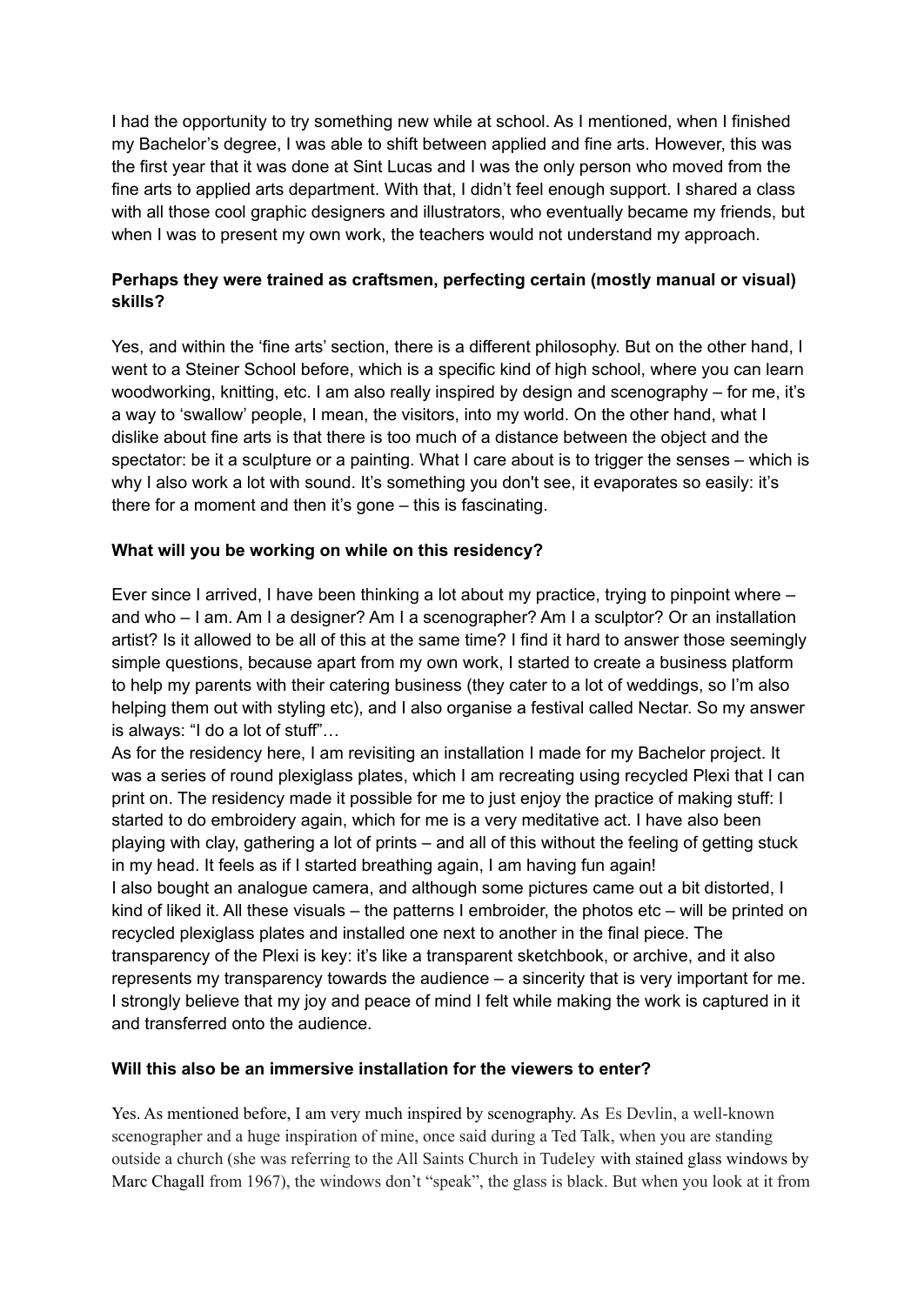I had the opportunity to try something new while at school. As I mentioned, when I finished my Bachelor's degree, I was able to shift between applied and fine arts. However, this was the first year that it was done at Sint Lucas and I was the only person who moved from the fine arts to applied arts department. With that, I didn't feel enough support. I shared a class with all those cool graphic designers and illustrators, who eventually became my friends, but when I was to present my own work, the teachers would not understand my approach.

## **Perhaps they were trained as craftsmen, perfecting certain (mostly manual or visual) skills?**

Yes, and within the 'fine arts' section, there is a different philosophy. But on the other hand, I went to a Steiner School before, which is a specific kind of high school, where you can learn woodworking, knitting, etc. I am also really inspired by design and scenography – for me, it's a way to 'swallow' people, I mean, the visitors, into my world. On the other hand, what I dislike about fine arts is that there is too much of a distance between the object and the spectator: be it a sculpture or a painting. What I care about is to trigger the senses – which is why I also work a lot with sound. It's something you don't see, it evaporates so easily: it's there for a moment and then it's gone – this is fascinating.

## **What will you be working on while on this residency?**

Ever since I arrived, I have been thinking a lot about my practice, trying to pinpoint where – and who – I am. Am I a designer? Am I a scenographer? Am I a sculptor? Or an installation artist? Is it allowed to be all of this at the same time? I find it hard to answer those seemingly simple questions, because apart from my own work, I started to create a business platform to help my parents with their catering business (they cater to a lot of weddings, so I'm also helping them out with styling etc), and I also organise a festival called Nectar. So my answer is always: "I do a lot of stuff"…

As for the residency here, I am revisiting an installation I made for my Bachelor project. It was a series of round plexiglass plates, which I am recreating using recycled Plexi that I can print on. The residency made it possible for me to just enjoy the practice of making stuff: I started to do embroidery again, which for me is a very meditative act. I have also been playing with clay, gathering a lot of prints – and all of this without the feeling of getting stuck in my head. It feels as if I started breathing again, I am having fun again! I also bought an analogue camera, and although some pictures came out a bit distorted, I kind of liked it. All these visuals – the patterns I embroider, the photos etc – will be printed on recycled plexiglass plates and installed one next to another in the final piece. The transparency of the Plexi is key: it's like a transparent sketchbook, or archive, and it also represents my transparency towards the audience – a sincerity that is very important for me. I strongly believe that my joy and peace of mind I felt while making the work is captured in it and transferred onto the audience.

#### **Will this also be an immersive installation for the viewers to enter?**

Yes. As mentioned before, I am very much inspired by scenography. As Es Devlin, a well-known scenographer and a huge inspiration of mine, once said during a Ted Talk, when you are standing outside a church (she was referring to the All Saints Church in Tudeley with stained glass windows by Marc Chagall from 1967), the windows don't "speak", the glass is black. But when you look at it from